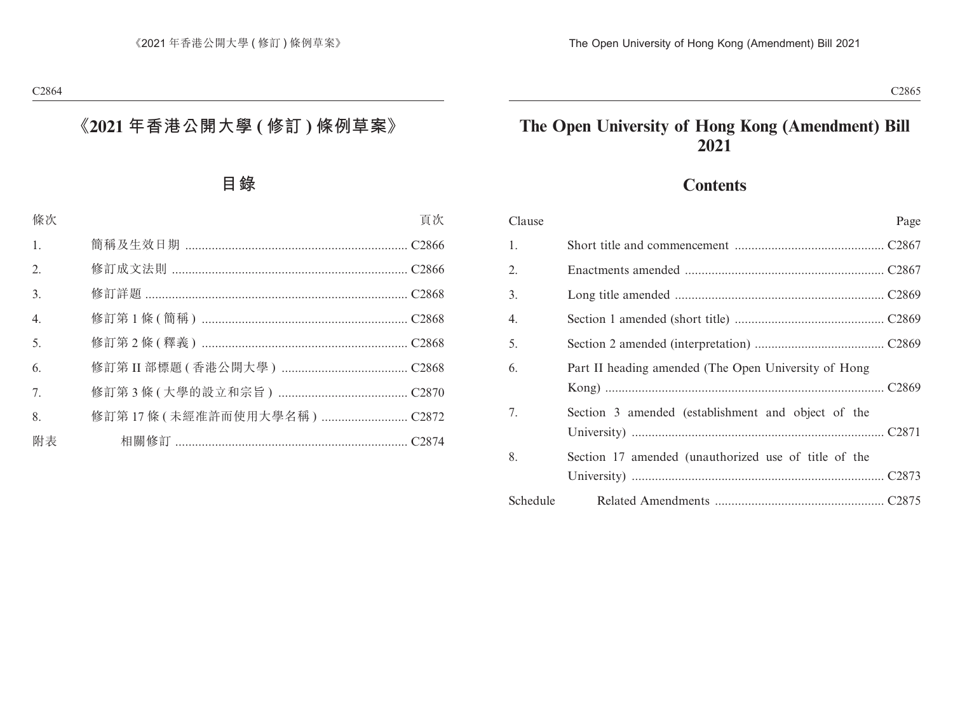# **The Open University of Hong Kong (Amendment) Bill 2021**

# **Contents**

| Clause   | Page                                                 |
|----------|------------------------------------------------------|
| 1.       |                                                      |
| 2.       |                                                      |
| 3.       |                                                      |
| 4.       |                                                      |
| 5.       |                                                      |
| 6.       | Part II heading amended (The Open University of Hong |
| 7.       | Section 3 amended (establishment and object of the   |
| 8.       | Section 17 amended (unauthorized use of title of the |
| Schedule |                                                      |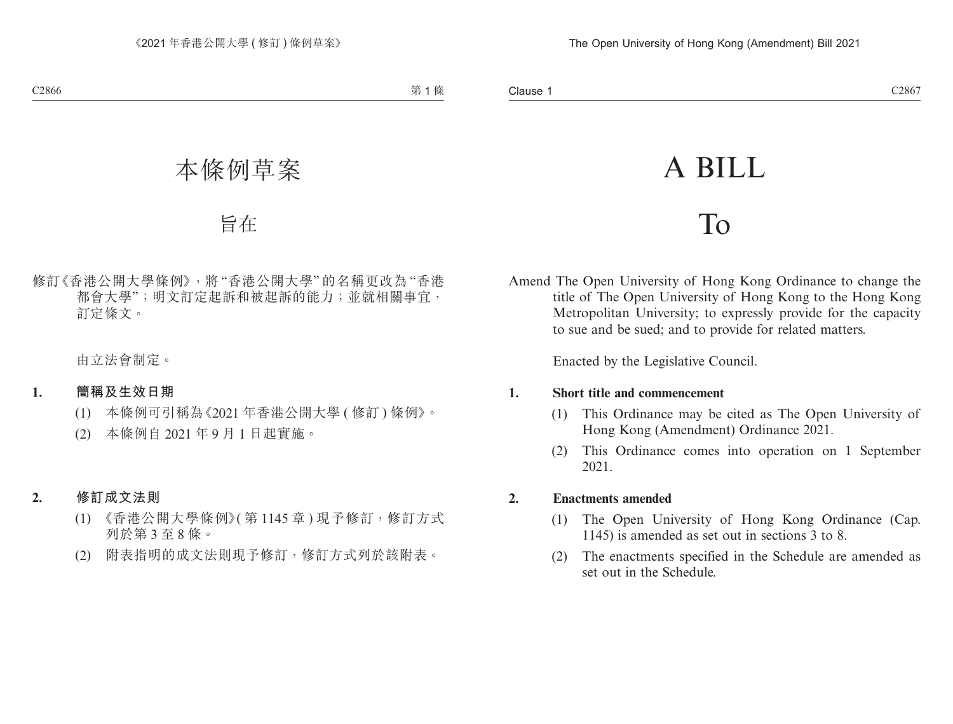# A BILL

# To

Amend The Open University of Hong Kong Ordinance to change the title of The Open University of Hong Kong to the Hong Kong Metropolitan University; to expressly provide for the capacity to sue and be sued; and to provide for related matters.

Enacted by the Legislative Council.

### **1. Short title and commencement**

- (1) This Ordinance may be cited as The Open University of Hong Kong (Amendment) Ordinance 2021.
- (2) This Ordinance comes into operation on 1 September 2021.

### **2. Enactments amended**

- (1) The Open University of Hong Kong Ordinance (Cap. 1145) is amended as set out in sections 3 to 8.
- (2) The enactments specified in the Schedule are amended as set out in the Schedule.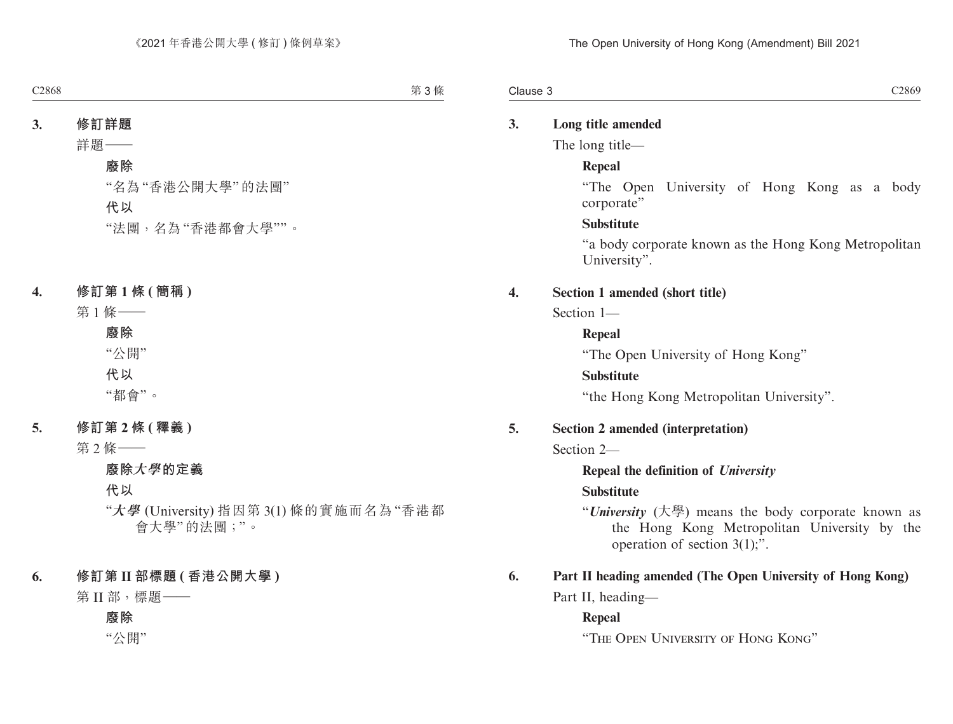# **3. Long title amended**

The long title—

### **Repeal**

"The Open University of Hong Kong as a body corporate"

### **Substitute**

"a body corporate known as the Hong Kong Metropolitan University".

### **4. Section 1 amended (short title)**

Section 1—

### **Repeal**

"The Open University of Hong Kong"

### **Substitute**

"the Hong Kong Metropolitan University".

### **5. Section 2 amended (interpretation)**

Section 2—

### **Repeal the definition of** *University*

### **Substitute**

"*University* (大學) means the body corporate known as the Hong Kong Metropolitan University by the operation of section 3(1);".

### **6. Part II heading amended (The Open University of Hong Kong)**

Part II, heading—

### **Repeal**

"The Open University of Hong Kong"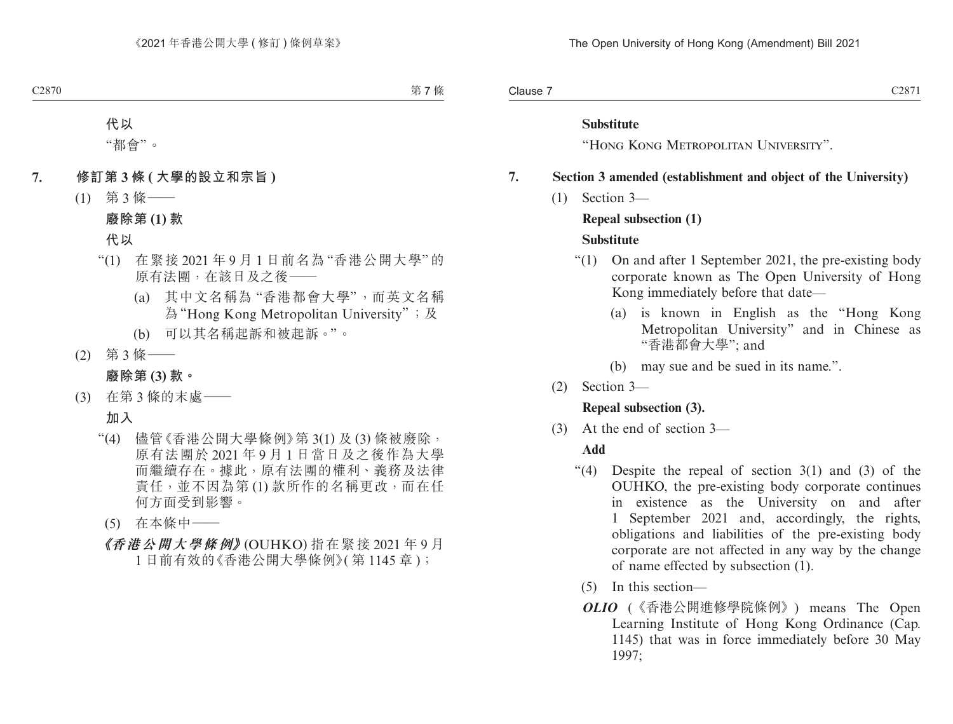Clause 7 Clause 7 and 2007 C2871

### **Substitute**

"Hong Kong Metropolitan University".

# **7. Section 3 amended (establishment and object of the University)**

(1) Section 3—

### **Repeal subsection (1)**

# **Substitute**

- "(1) On and after 1 September 2021, the pre-existing body corporate known as The Open University of Hong Kong immediately before that date—
	- (a) is known in English as the "Hong Kong Metropolitan University" and in Chinese as "香港都會大學"; and
	- (b) may sue and be sued in its name.".
- (2) Section 3—

### **Repeal subsection (3).**

(3) At the end of section 3—

# **Add**

- "(4) Despite the repeal of section  $3(1)$  and  $(3)$  of the OUHKO, the pre-existing body corporate continues in existence as the University on and after 1 September 2021 and, accordingly, the rights, obligations and liabilities of the pre-existing body corporate are not affected in any way by the change of name effected by subsection (1).
	- (5) In this section—
	- *OLIO* (《香港公開進修學院條例》) means The Open Learning Institute of Hong Kong Ordinance (Cap. 1145) that was in force immediately before 30 May 1997;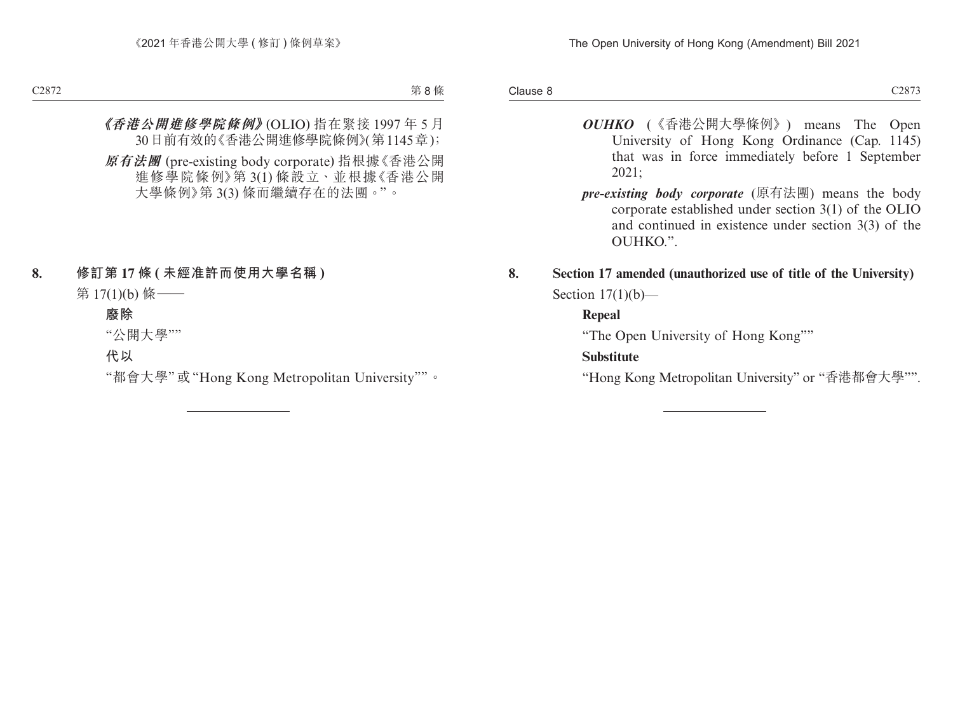- *OUHKO* (《香港公開大學條例》) means The Open University of Hong Kong Ordinance (Cap. 1145) that was in force immediately before 1 September 2021;
- *pre-existing body corporate* (原有法團) means the body corporate established under section 3(1) of the OLIO and continued in existence under section 3(3) of the OUHKO.".

# **8. Section 17 amended (unauthorized use of title of the University)** Section  $17(1)(b)$ —

# **Repeal**

"The Open University of Hong Kong""

# **Substitute**

"Hong Kong Metropolitan University" or "香港都會大學"".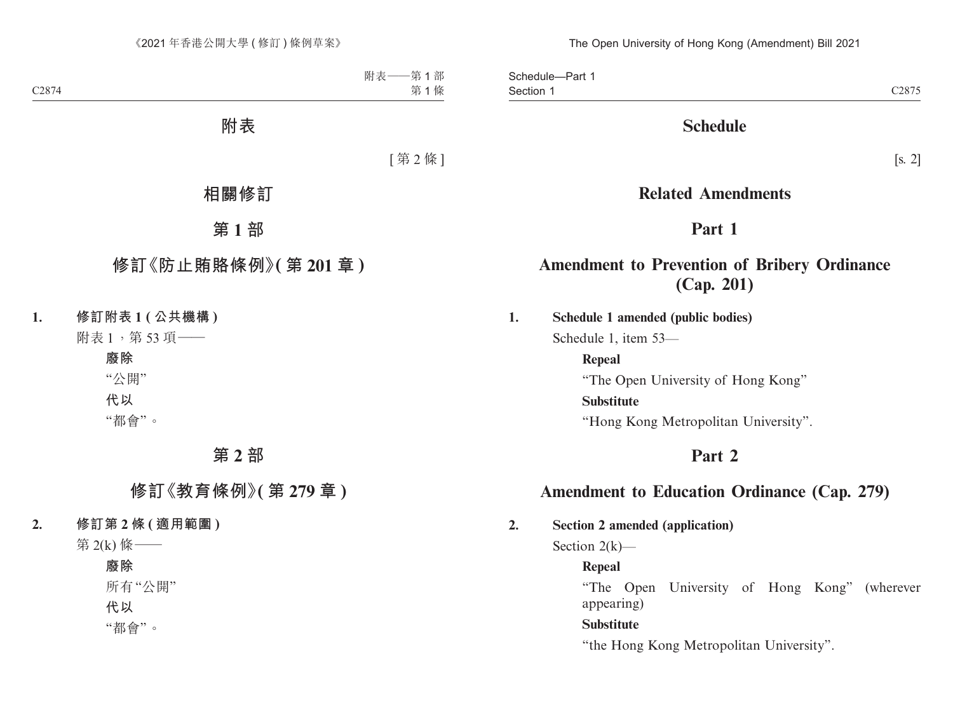Section 1 and 2007 Section 1 and 2007 Section 1 and 2007 Section 1 and 2007 Section 1 and 2007 Section 1 and 2007 Section 1 and 2007 Section 1 and 2007 Section 1 and 2007 Section 1 and 2007 Section 1 and 2007 Section 1 and Schedule—Part 1 Section 1

# **Schedule**

# **Related Amendments**

# **Part 1**

# **Amendment to Prevention of Bribery Ordinance (Cap. 201)**

**1. Schedule 1 amended (public bodies)**

Schedule 1, item 53—

**Repeal** "The Open University of Hong Kong" **Substitute** "Hong Kong Metropolitan University".

# **Part 2**

# **Amendment to Education Ordinance (Cap. 279)**

**2. Section 2 amended (application)**

Section  $2(k)$ —

# **Repeal**

"The Open University of Hong Kong" (wherever appearing)

# **Substitute**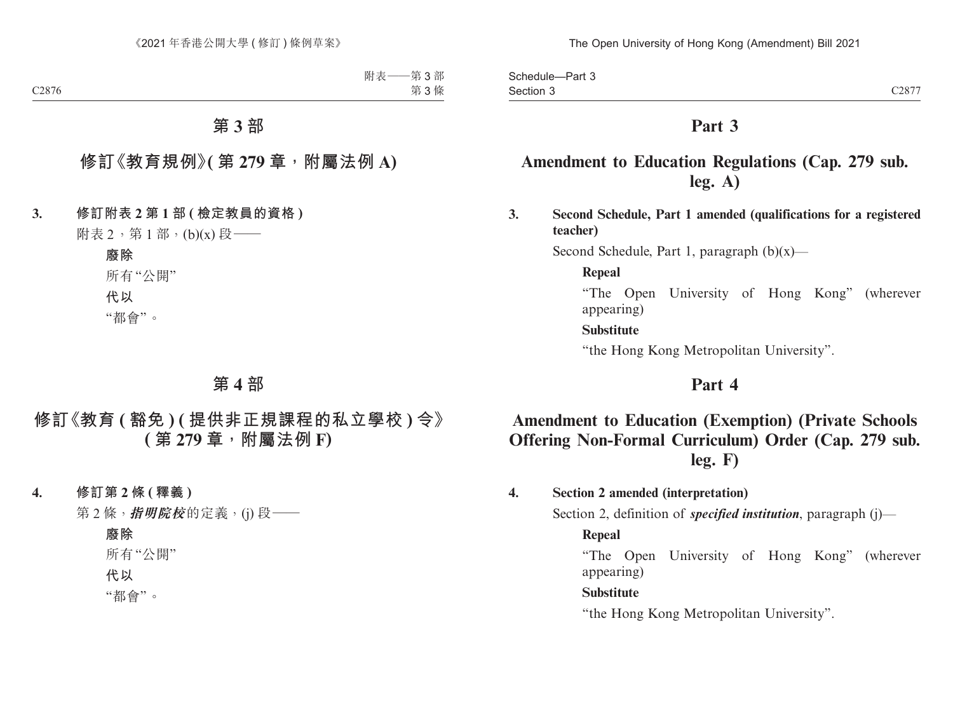# **Part 3**

# **Amendment to Education Regulations (Cap. 279 sub. leg. A)**

**3. Second Schedule, Part 1 amended (qualifications for a registered teacher)**

Second Schedule, Part 1, paragraph  $(b)(x)$ —

### **Repeal**

"The Open University of Hong Kong" (wherever appearing)

# **Substitute**

"the Hong Kong Metropolitan University".

# **Part 4**

# **Amendment to Education (Exemption) (Private Schools Offering Non-Formal Curriculum) Order (Cap. 279 sub. leg. F)**

**4. Section 2 amended (interpretation)**

Section 2, definition of *specified institution*, paragraph (j)—

### **Repeal**

"The Open University of Hong Kong" (wherever appearing)

#### **Substitute**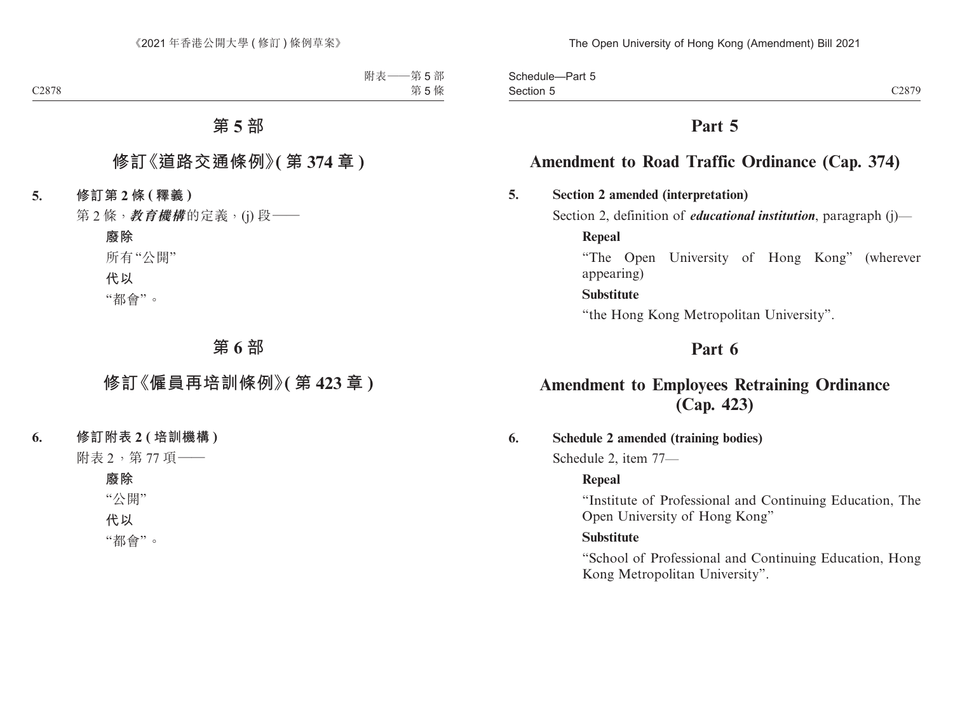Section 5 and 2008 C2879 Schedule—Part 5 Section 5

# **Part 5**

# **Amendment to Road Traffic Ordinance (Cap. 374)**

### **5. Section 2 amended (interpretation)**

Section 2, definition of *educational institution*, paragraph (j)—

**Repeal**

"The Open University of Hong Kong" (wherever appearing)

#### **Substitute**

"the Hong Kong Metropolitan University".

# **Part 6**

# **Amendment to Employees Retraining Ordinance (Cap. 423)**

### **6. Schedule 2 amended (training bodies)**

Schedule 2, item 77—

#### **Repeal**

"Institute of Professional and Continuing Education, The Open University of Hong Kong"

#### **Substitute**

"School of Professional and Continuing Education, Hong Kong Metropolitan University".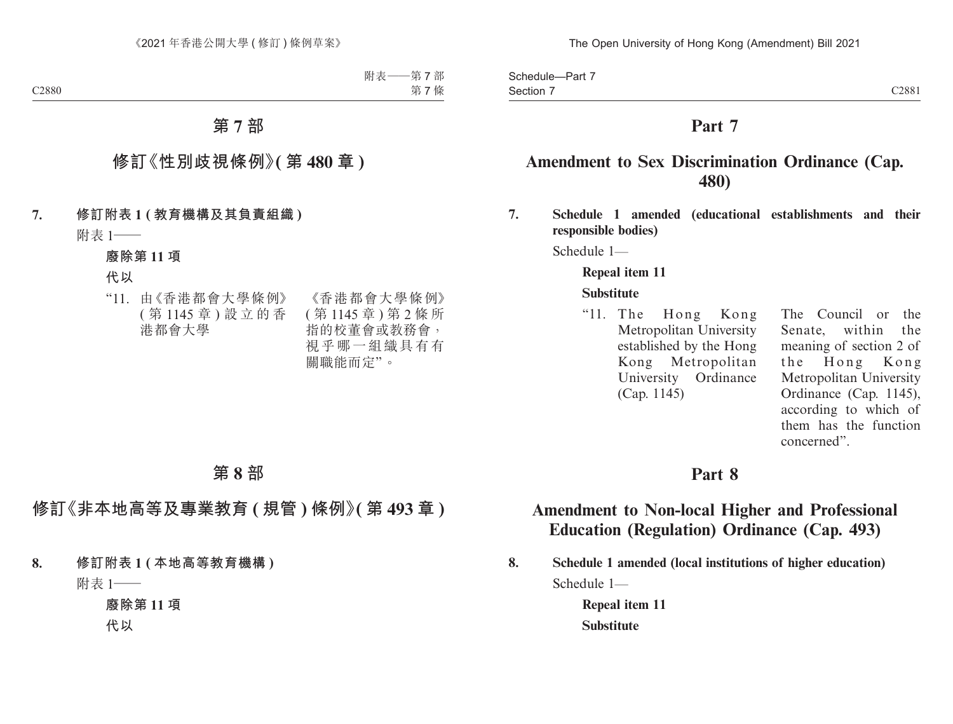Section 7 and 2008 C2881 Schedule—Part 7 Section 7

# **Part 7**

# **Amendment to Sex Discrimination Ordinance (Cap. 480)**

**7. Schedule 1 amended (educational establishments and their responsible bodies)**

Schedule 1—

#### **Repeal item 11**

#### **Substitute**

"11. The Hong Kong Metropolitan University established by the Hong Kong Metropolitan University Ordinance (Cap. 1145)

The Council or the Senate, within the meaning of section 2 of the Hong Kong Metropolitan University Ordinance (Cap. 1145), according to which of them has the function concerned".

### **Part 8**

# **Amendment to Non-local Higher and Professional Education (Regulation) Ordinance (Cap. 493)**

**8. Schedule 1 amended (local institutions of higher education)** Schedule 1—

> **Repeal item 11 Substitute**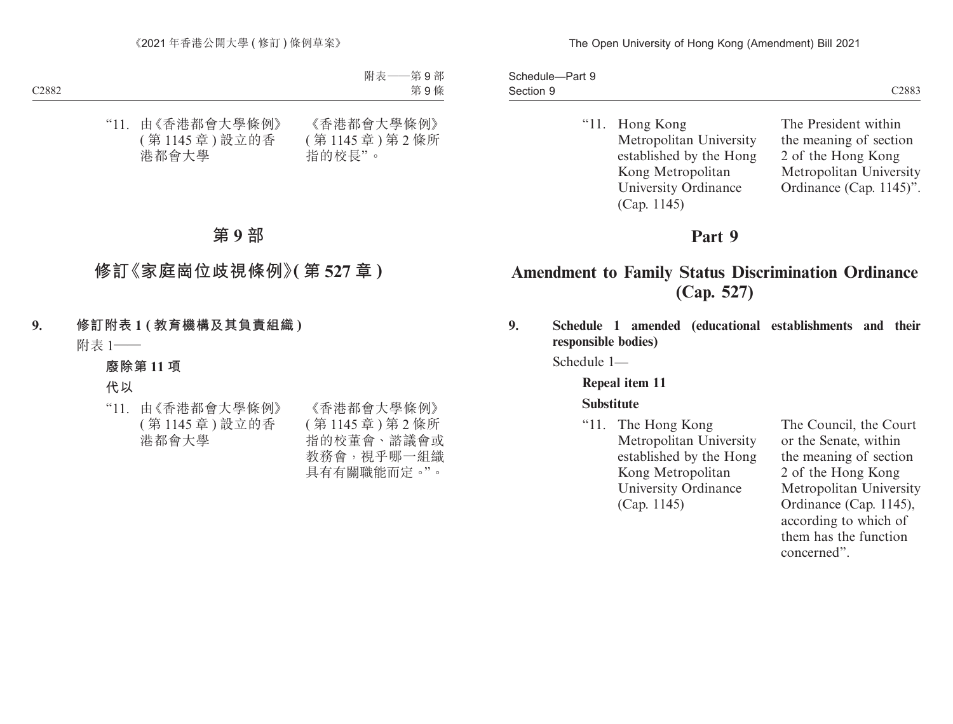Section 9 and 2008 C2883 Schedule—Part 9 Section 9

"11. Hong Kong Metropolitan University established by the Hong Kong Metropolitan University Ordinance (Cap. 1145)

The President within the meaning of section 2 of the Hong Kong Metropolitan University Ordinance (Cap. 1145)".

# **Part 9**

# **Amendment to Family Status Discrimination Ordinance (Cap. 527)**

**9. Schedule 1 amended (educational establishments and their responsible bodies)**

Schedule 1—

**Repeal item 11**

### **Substitute**

"11. The Hong Kong Metropolitan University established by the Hong Kong Metropolitan University Ordinance (Cap. 1145)

The Council, the Court or the Senate, within the meaning of section 2 of the Hong Kong Metropolitan University Ordinance (Cap. 1145), according to which of them has the function concerned".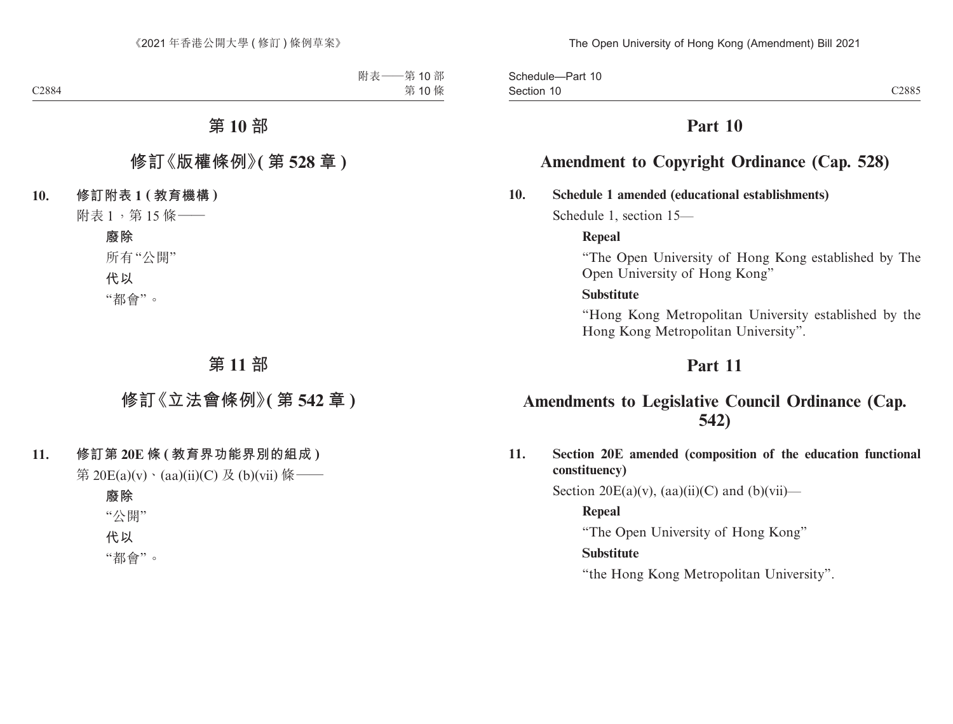Section 10 and 200 and 200 and 200 and 200 and 200 and 200 and 200 and 200 and 200 and 200 and 200 and 200 and Schedule—Part 10 Section 10

# **Part 10**

# **Amendment to Copyright Ordinance (Cap. 528)**

### **10. Schedule 1 amended (educational establishments)**

Schedule 1, section 15—

### **Repeal**

"The Open University of Hong Kong established by The Open University of Hong Kong"

### **Substitute**

"Hong Kong Metropolitan University established by the Hong Kong Metropolitan University".

# **Part 11**

# **Amendments to Legislative Council Ordinance (Cap. 542)**

**11. Section 20E amended (composition of the education functional constituency)**

Section  $20E(a)(v)$ ,  $(aa)(ii)(C)$  and  $(b)(vii)$ —

### **Repeal**

"The Open University of Hong Kong"

### **Substitute**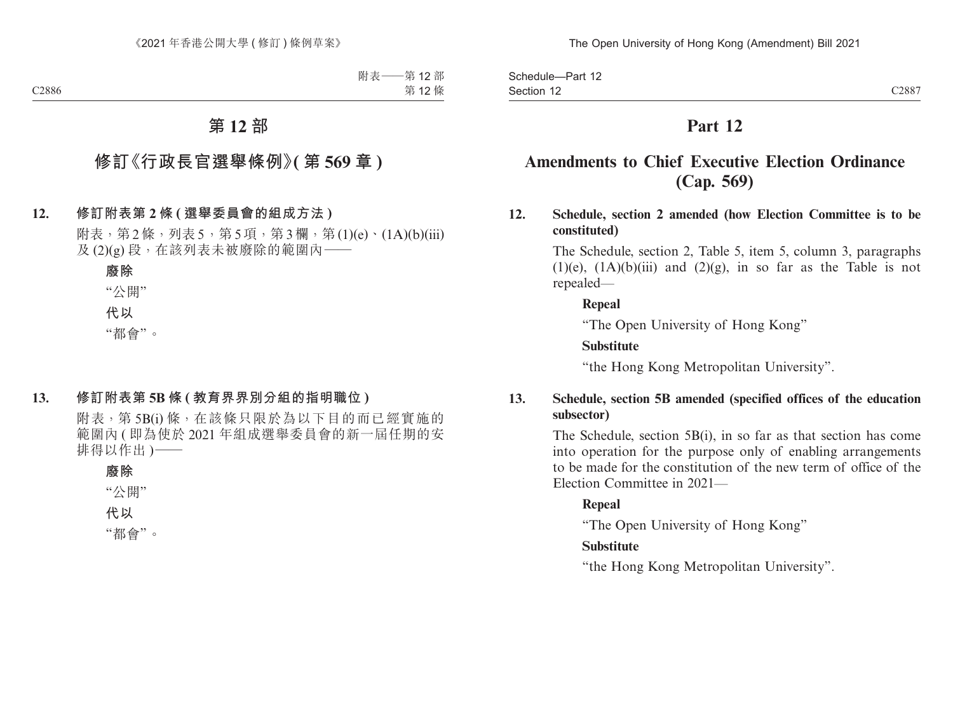Section 12 and 2008 C2887 Schedule—Part 12 Section 12

# **Part 12**

# **Amendments to Chief Executive Election Ordinance (Cap. 569)**

**12. Schedule, section 2 amended (how Election Committee is to be constituted)**

> The Schedule, section 2, Table 5, item 5, column 3, paragraphs  $(1)(e)$ ,  $(1A)(b)(iii)$  and  $(2)(g)$ , in so far as the Table is not repealed—

### **Repeal**

"The Open University of Hong Kong"

### **Substitute**

"the Hong Kong Metropolitan University".

# **13. Schedule, section 5B amended (specified offices of the education subsector)**

The Schedule, section 5B(i), in so far as that section has come into operation for the purpose only of enabling arrangements to be made for the constitution of the new term of office of the Election Committee in 2021—

### **Repeal**

"The Open University of Hong Kong"

# **Substitute**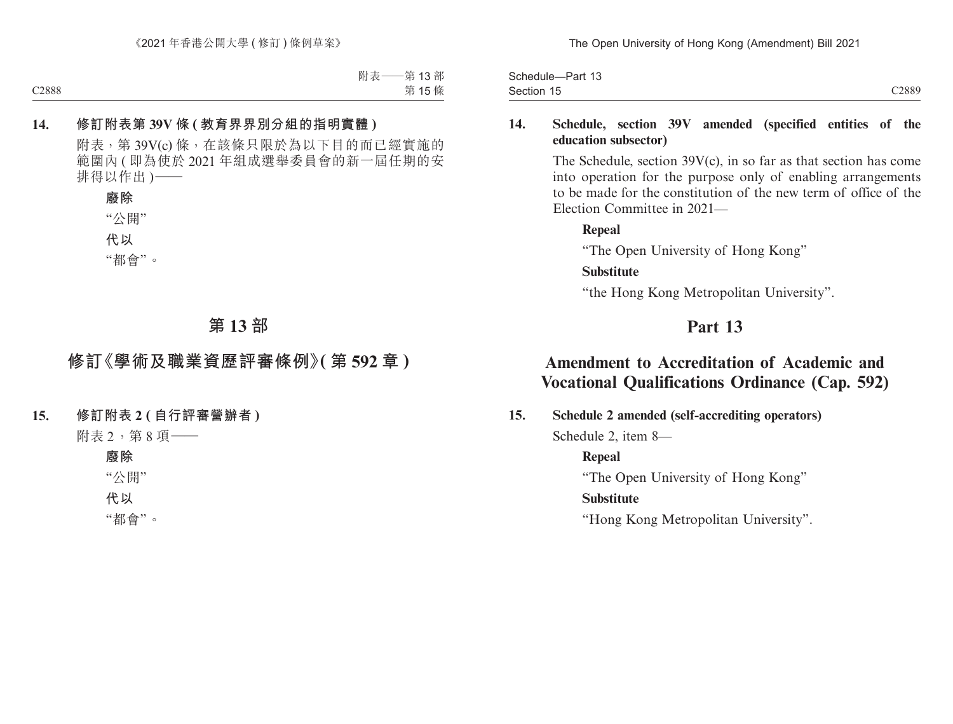The Open University of Hong Kong (Amendment) Bill 2021

Section 15 and 2008 and 2008 and 2008 and 2008 and 2008 and 2008 and 2008 and 2008 and 2008 and 2008 and 2008 Schedule—Part 13 Section 15

# **14. Schedule, section 39V amended (specified entities of the education subsector)**

The Schedule, section 39V(c), in so far as that section has come into operation for the purpose only of enabling arrangements to be made for the constitution of the new term of office of the Election Committee in 2021—

**Repeal** "The Open University of Hong Kong"

### **Substitute**

"the Hong Kong Metropolitan University".

# **Part 13**

# **Amendment to Accreditation of Academic and Vocational Qualifications Ordinance (Cap. 592)**

**15. Schedule 2 amended (self-accrediting operators)**

Schedule 2, item 8—

# **Repeal**

"The Open University of Hong Kong"

# **Substitute**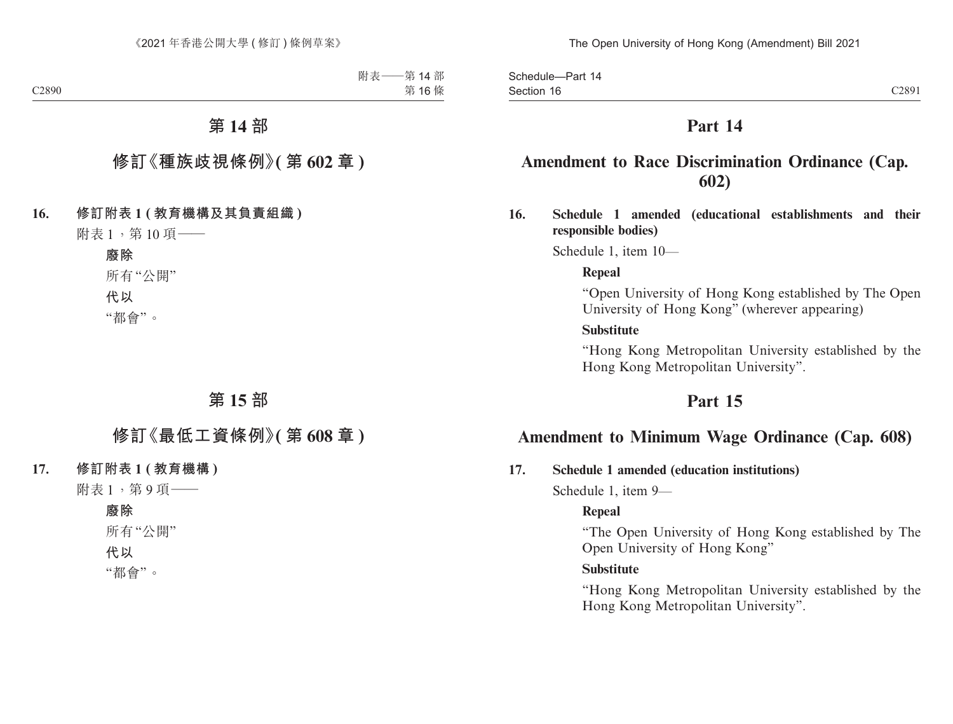Section 16 and 200 and 200 and 200 and 200 and 200 and 200 and 200 and 200 and 200 and 200 and 200 and 200 and Schedule—Part 14 Section 16

# **Part 14**

# **Amendment to Race Discrimination Ordinance (Cap. 602)**

**16. Schedule 1 amended (educational establishments and their responsible bodies)**

Schedule 1, item 10—

#### **Repeal**

"Open University of Hong Kong established by The Open University of Hong Kong" (wherever appearing)

#### **Substitute**

"Hong Kong Metropolitan University established by the Hong Kong Metropolitan University".

# **Part 15**

# **Amendment to Minimum Wage Ordinance (Cap. 608)**

#### **17. Schedule 1 amended (education institutions)**

Schedule 1, item 9—

### **Repeal**

"The Open University of Hong Kong established by The Open University of Hong Kong"

#### **Substitute**

"Hong Kong Metropolitan University established by the Hong Kong Metropolitan University".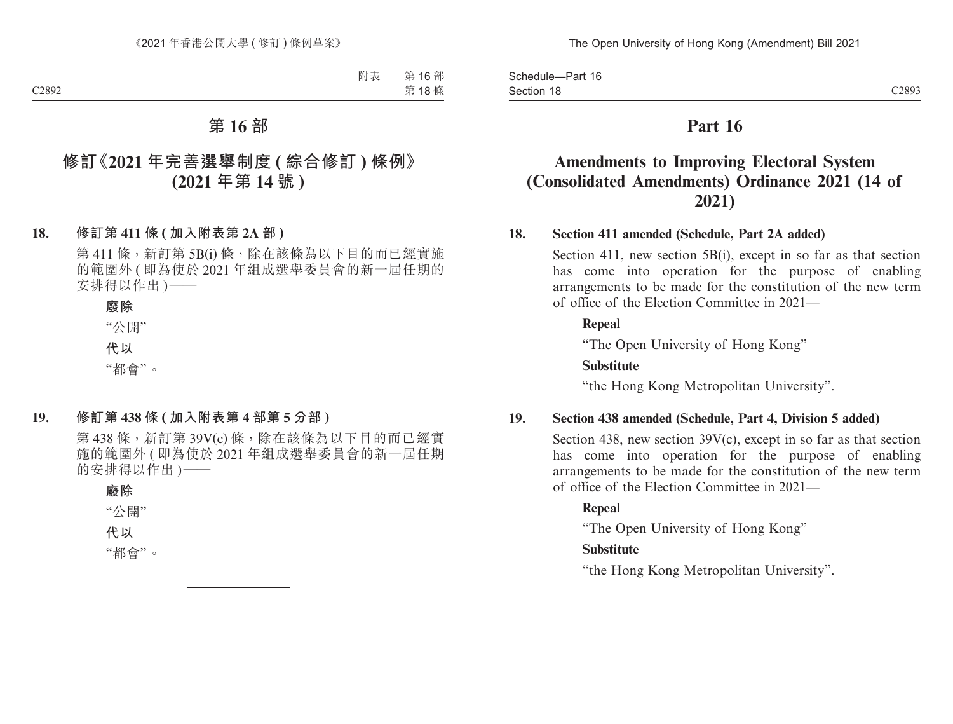Section 18 and 2008 C2893 Schedule—Part 16 Section 18

# **Part 16**

# **Amendments to Improving Electoral System (Consolidated Amendments) Ordinance 2021 (14 of 2021)**

### **18. Section 411 amended (Schedule, Part 2A added)**

Section 411, new section 5B(i), except in so far as that section has come into operation for the purpose of enabling arrangements to be made for the constitution of the new term of office of the Election Committee in 2021—

#### **Repeal**

"The Open University of Hong Kong"

#### **Substitute**

"the Hong Kong Metropolitan University".

#### **19. Section 438 amended (Schedule, Part 4, Division 5 added)**

Section 438, new section  $39V(c)$ , except in so far as that section has come into operation for the purpose of enabling arrangements to be made for the constitution of the new term of office of the Election Committee in 2021—

### **Repeal**

"The Open University of Hong Kong"

### **Substitute**